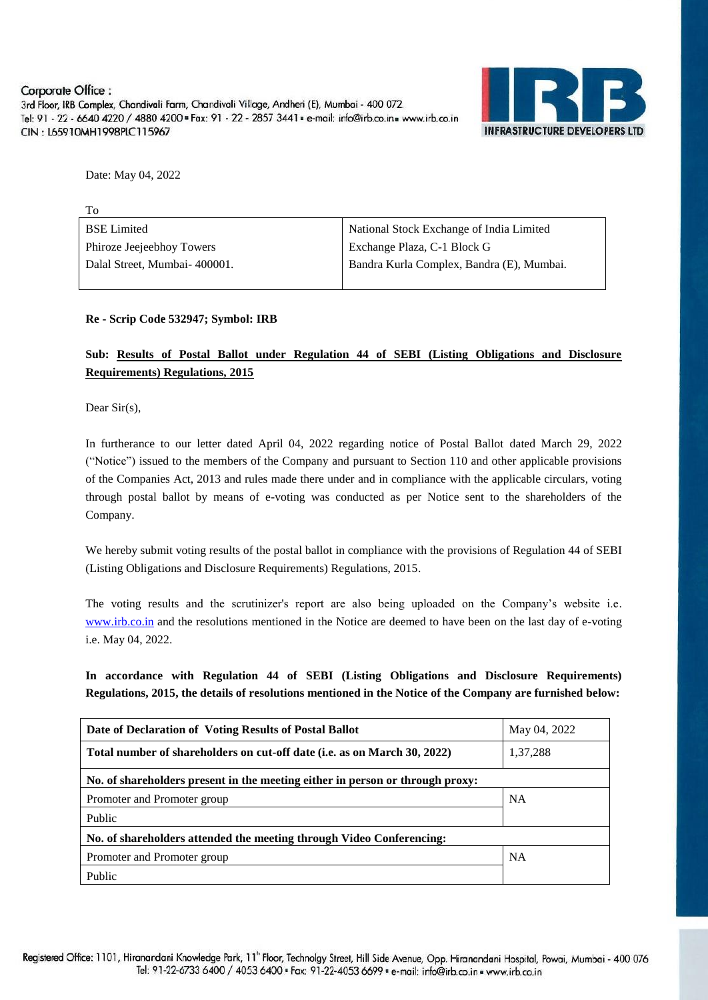

Date: May 04, 2022

| <b>BSE</b> Limited           | National Stock Exchange of India Limited  |
|------------------------------|-------------------------------------------|
| Phiroze Jeejeebhoy Towers    | Exchange Plaza, C-1 Block G               |
| Dalal Street, Mumbai-400001. | Bandra Kurla Complex, Bandra (E), Mumbai. |
|                              |                                           |

**Re - Scrip Code 532947; Symbol: IRB**

#### **Sub: Results of Postal Ballot under Regulation 44 of SEBI (Listing Obligations and Disclosure Requirements) Regulations, 2015**

Dear Sir(s),

In furtherance to our letter dated April 04, 2022 regarding notice of Postal Ballot dated March 29, 2022 ("Notice") issued to the members of the Company and pursuant to Section 110 and other applicable provisions of the Companies Act, 2013 and rules made there under and in compliance with the applicable circulars, voting through postal ballot by means of e-voting was conducted as per Notice sent to the shareholders of the Company.

We hereby submit voting results of the postal ballot in compliance with the provisions of Regulation 44 of SEBI (Listing Obligations and Disclosure Requirements) Regulations, 2015.

The voting results and the scrutinizer's report are also being uploaded on the Company's website i.e. [www.irb.co.in](http://www.irb.co.in/) and the resolutions mentioned in the Notice are deemed to have been on the last day of e-voting i.e. May 04, 2022.

**In accordance with Regulation 44 of SEBI (Listing Obligations and Disclosure Requirements) Regulations, 2015, the details of resolutions mentioned in the Notice of the Company are furnished below:**

| Date of Declaration of Voting Results of Postal Ballot                        | May 04, 2022 |  |  |  |  |  |
|-------------------------------------------------------------------------------|--------------|--|--|--|--|--|
| Total number of shareholders on cut-off date (i.e. as on March 30, 2022)      | 1,37,288     |  |  |  |  |  |
| No. of shareholders present in the meeting either in person or through proxy: |              |  |  |  |  |  |
| Promoter and Promoter group                                                   | <b>NA</b>    |  |  |  |  |  |
| Public                                                                        |              |  |  |  |  |  |
| No. of shareholders attended the meeting through Video Conferencing:          |              |  |  |  |  |  |
| Promoter and Promoter group                                                   | <b>NA</b>    |  |  |  |  |  |
| Public                                                                        |              |  |  |  |  |  |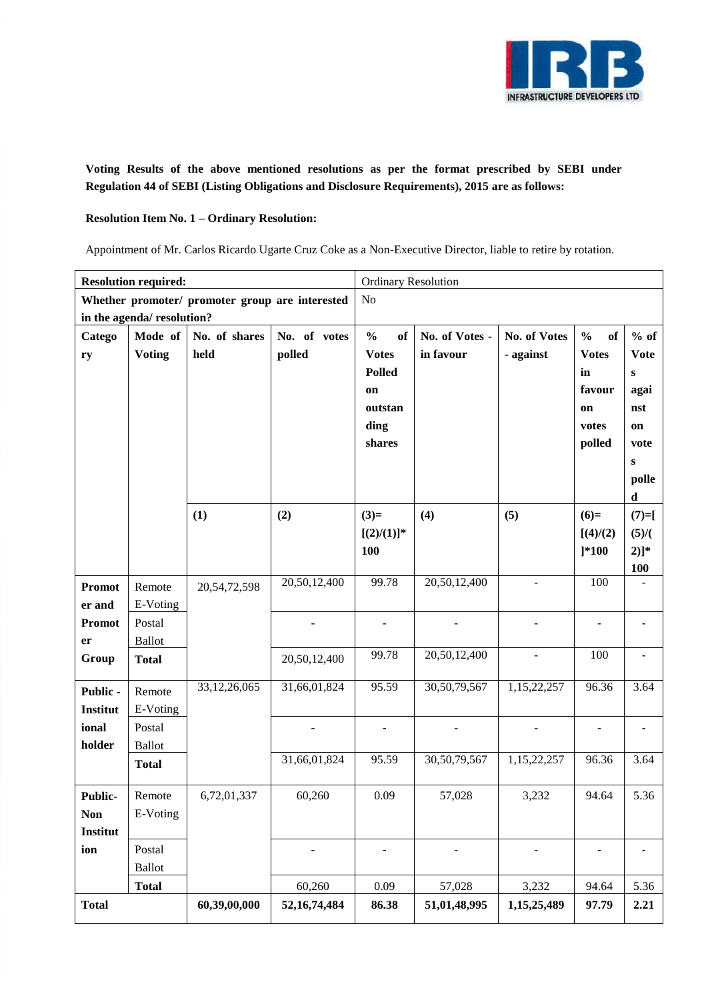

**Voting Results of the above mentioned resolutions as per the format prescribed by SEBI under Regulation 44 of SEBI (Listing Obligations and Disclosure Requirements), 2015 are as follows:**

#### **Resolution Item No. 1 – Ordinary Resolution:**

Appointment of Mr. Carlos Ricardo Ugarte Cruz Coke as a Non-Executive Director, liable to retire by rotation.

| <b>Resolution required:</b> |                                                 |              |                 | <b>Ordinary Resolution</b> |                |                          |                     |                          |  |  |
|-----------------------------|-------------------------------------------------|--------------|-----------------|----------------------------|----------------|--------------------------|---------------------|--------------------------|--|--|
|                             | Whether promoter/ promoter group are interested |              |                 |                            | No             |                          |                     |                          |  |  |
|                             | in the agenda/resolution?                       |              |                 |                            |                |                          |                     |                          |  |  |
| Catego                      | Mode of<br>No. of shares<br>No. of votes        |              |                 | $\frac{1}{2}$<br>of        | No. of Votes - | No. of Votes             | $\frac{0}{0}$<br>of | $%$ of                   |  |  |
| ry                          | <b>Voting</b>                                   | held         | polled          | <b>Votes</b>               | in favour      | - against                | <b>Votes</b>        | <b>Vote</b>              |  |  |
|                             |                                                 |              |                 | <b>Polled</b>              |                |                          | in                  | $\bf{s}$                 |  |  |
|                             |                                                 |              |                 | on                         |                |                          | favour              | agai                     |  |  |
|                             |                                                 |              |                 | outstan                    |                |                          | on                  | nst                      |  |  |
|                             |                                                 |              |                 | ding                       |                |                          | votes               | on                       |  |  |
|                             |                                                 |              |                 | shares                     |                |                          | polled              | vote                     |  |  |
|                             |                                                 |              |                 |                            |                |                          |                     | ${\bf S}$                |  |  |
|                             |                                                 |              |                 |                            |                |                          |                     | polle<br>d               |  |  |
|                             |                                                 | (1)          | (2)             | $(3)=$                     | (4)            | (5)                      | $(6)=$              | $(7)=$ [                 |  |  |
|                             |                                                 |              |                 | $[(2)/(1)]^*$              |                |                          | [(4)/(2)]           | (5)/(                    |  |  |
|                             |                                                 |              |                 | 100                        |                |                          | $] * 100$           | $2)]^*$                  |  |  |
|                             |                                                 |              |                 |                            |                |                          |                     | <b>100</b>               |  |  |
| <b>Promot</b>               | Remote                                          | 20,54,72,598 | 20,50,12,400    | 99.78                      | 20,50,12,400   | $\overline{\phantom{a}}$ | 100                 |                          |  |  |
| er and                      | E-Voting                                        |              |                 |                            |                |                          |                     |                          |  |  |
| <b>Promot</b>               | Postal                                          |              |                 |                            |                |                          |                     |                          |  |  |
| er                          | <b>Ballot</b>                                   |              |                 |                            |                |                          |                     |                          |  |  |
| Group                       | <b>Total</b>                                    |              | 20,50,12,400    | 99.78                      | 20,50,12,400   | $\blacksquare$           | 100                 | $\overline{\phantom{m}}$ |  |  |
| Public -                    | Remote                                          | 33,12,26,065 | 31,66,01,824    | 95.59                      | 30,50,79,567   | 1,15,22,257              | 96.36               | $\overline{3.64}$        |  |  |
| Institut                    | E-Voting                                        |              |                 |                            |                |                          |                     |                          |  |  |
| ional                       | Postal                                          |              |                 |                            |                |                          |                     |                          |  |  |
| holder                      | <b>Ballot</b>                                   |              |                 |                            |                |                          |                     |                          |  |  |
|                             | <b>Total</b>                                    |              | 31,66,01,824    | 95.59                      | 30,50,79,567   | 1,15,22,257              | 96.36               | 3.64                     |  |  |
| <b>Public-</b>              | Remote                                          | 6,72,01,337  | 60,260          | 0.09                       | 57,028         | 3,232                    | 94.64               | 5.36                     |  |  |
| <b>Non</b>                  | E-Voting                                        |              |                 |                            |                |                          |                     |                          |  |  |
| Institut                    |                                                 |              |                 |                            |                |                          |                     |                          |  |  |
| ion                         | Postal                                          |              |                 |                            |                |                          |                     |                          |  |  |
|                             | <b>Ballot</b>                                   |              |                 |                            |                |                          |                     |                          |  |  |
|                             | <b>Total</b>                                    |              | 60,260          | 0.09                       | 57,028         | 3,232                    | 94.64               | 5.36                     |  |  |
| <b>Total</b>                |                                                 | 60,39,00,000 | 52, 16, 74, 484 | 86.38                      | 51,01,48,995   | 1,15,25,489              | 97.79               | 2.21                     |  |  |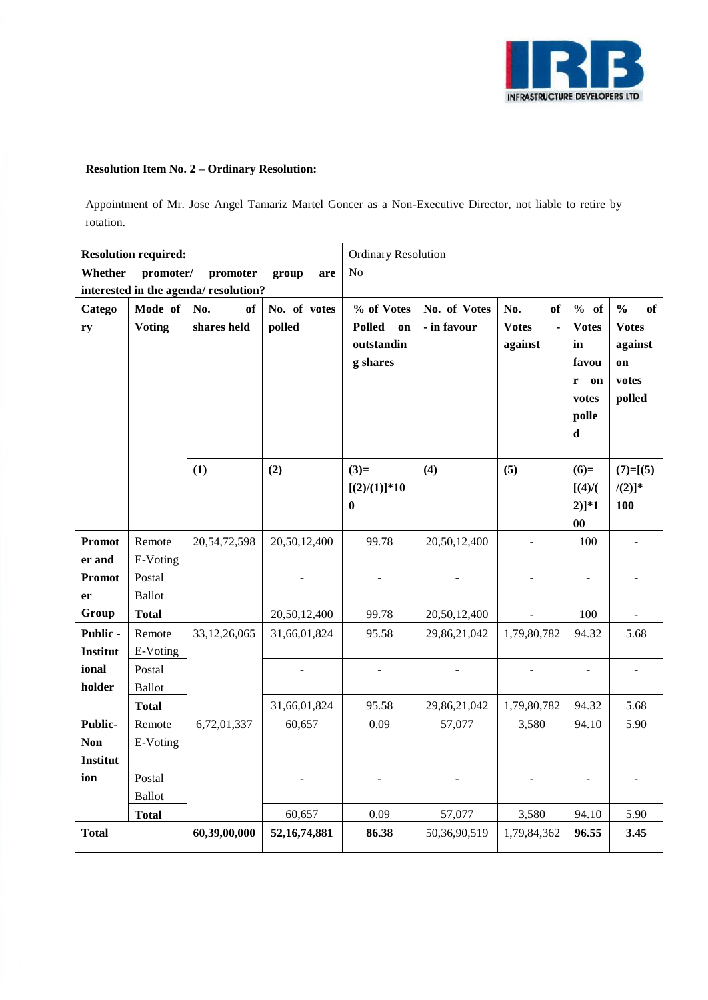

# **Resolution Item No. 2 – Ordinary Resolution:**

Appointment of Mr. Jose Angel Tamariz Martel Goncer as a Non-Executive Director, not liable to retire by rotation.

|                                      | <b>Resolution required:</b>                      |                 |                 | <b>Ordinary Resolution</b> |              |                    |                          |                                          |  |
|--------------------------------------|--------------------------------------------------|-----------------|-----------------|----------------------------|--------------|--------------------|--------------------------|------------------------------------------|--|
|                                      | Whether<br>promoter/<br>promoter<br>group<br>are |                 |                 |                            | No           |                    |                          |                                          |  |
| interested in the agenda/resolution? |                                                  |                 |                 |                            |              |                    |                          |                                          |  |
| Catego                               | Mode of                                          | No.<br>of       | No. of votes    | % of Votes                 | No. of Votes | No.<br>of          | % of                     | $\mathbf{0}_{\mathbf{0}}^{\prime}$<br>of |  |
| ry                                   | <b>Voting</b>                                    | shares held     | polled          | <b>Polled</b><br>on        | - in favour  | <b>Votes</b><br>÷, | <b>Votes</b>             | <b>Votes</b>                             |  |
|                                      |                                                  |                 |                 | outstandin                 |              | against            | in                       | against                                  |  |
|                                      |                                                  |                 |                 | g shares                   |              |                    | favou                    | on                                       |  |
|                                      |                                                  |                 |                 |                            |              |                    | r<br>on                  | votes                                    |  |
|                                      |                                                  |                 |                 |                            |              |                    | votes                    | polled                                   |  |
|                                      |                                                  |                 |                 |                            |              |                    | polle                    |                                          |  |
|                                      |                                                  |                 |                 |                            |              |                    | $\mathbf d$              |                                          |  |
|                                      |                                                  | (1)             | (2)             | $(3)=$                     | (4)          | (5)                | $(6)=$                   | $(7)=[(5)$                               |  |
|                                      |                                                  |                 |                 | $[(2)/(1)]$ *10            |              |                    | $[(4)$ /(                | $/(2)]^*$                                |  |
|                                      |                                                  |                 |                 | $\bf{0}$                   |              |                    | $2)]*1$                  | 100                                      |  |
|                                      |                                                  |                 |                 |                            |              |                    | $\bf{00}$                |                                          |  |
| <b>Promot</b>                        | Remote                                           | 20, 54, 72, 598 | 20,50,12,400    | 99.78                      | 20,50,12,400 |                    | 100                      |                                          |  |
| er and                               | E-Voting                                         |                 |                 |                            |              |                    |                          |                                          |  |
| <b>Promot</b>                        | Postal                                           |                 |                 |                            |              |                    |                          |                                          |  |
| er                                   | <b>Ballot</b>                                    |                 |                 |                            |              |                    |                          |                                          |  |
| Group                                | <b>Total</b>                                     |                 | 20,50,12,400    | 99.78                      | 20,50,12,400 |                    | 100                      |                                          |  |
| Public -                             | Remote                                           | 33, 12, 26, 065 | 31,66,01,824    | 95.58                      | 29,86,21,042 | 1,79,80,782        | 94.32                    | 5.68                                     |  |
| Institut                             | E-Voting                                         |                 |                 |                            |              |                    |                          |                                          |  |
| ional                                | Postal                                           |                 |                 |                            |              |                    | $\overline{\phantom{0}}$ | $\blacksquare$                           |  |
| holder                               | <b>Ballot</b>                                    |                 |                 |                            |              |                    |                          |                                          |  |
|                                      | <b>Total</b>                                     |                 | 31,66,01,824    | 95.58                      | 29,86,21,042 | 1,79,80,782        | 94.32                    | 5.68                                     |  |
| Public-                              | Remote                                           | 6,72,01,337     | 60,657          | 0.09                       | 57,077       | 3,580              | 94.10                    | 5.90                                     |  |
| <b>Non</b>                           | E-Voting                                         |                 |                 |                            |              |                    |                          |                                          |  |
| <b>Institut</b>                      |                                                  |                 |                 |                            |              |                    |                          |                                          |  |
| ion                                  | Postal                                           |                 |                 |                            |              |                    |                          |                                          |  |
|                                      | <b>Ballot</b>                                    |                 |                 |                            |              |                    |                          |                                          |  |
|                                      | <b>Total</b>                                     |                 | 60,657          | 0.09                       | 57,077       | 3,580              | 94.10                    | 5.90                                     |  |
| <b>Total</b>                         |                                                  | 60,39,00,000    | 52, 16, 74, 881 | 86.38                      | 50,36,90,519 | 1,79,84,362        | 96.55                    | 3.45                                     |  |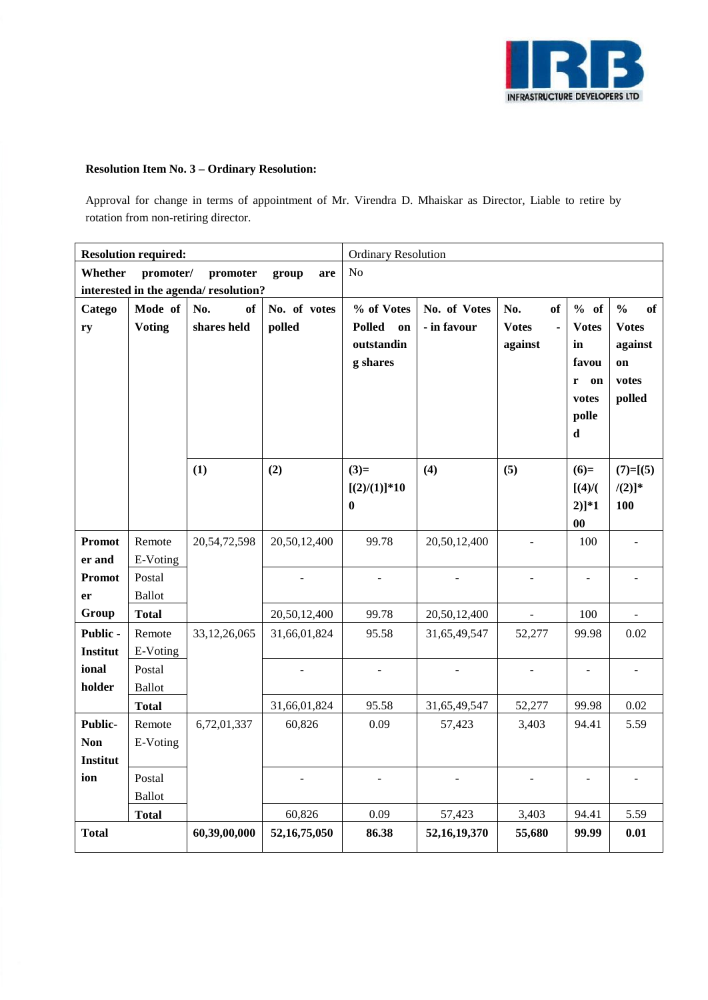

# **Resolution Item No. 3 – Ordinary Resolution:**

Approval for change in terms of appointment of Mr. Virendra D. Mhaiskar as Director, Liable to retire by rotation from non-retiring director.

| <b>Resolution required:</b>                      |                               |                 |                 | <b>Ordinary Resolution</b> |                 |                     |                    |                     |
|--------------------------------------------------|-------------------------------|-----------------|-----------------|----------------------------|-----------------|---------------------|--------------------|---------------------|
| Whether<br>promoter/<br>promoter<br>group<br>are |                               |                 |                 | N <sub>o</sub>             |                 |                     |                    |                     |
| interested in the agenda/resolution?             |                               |                 |                 |                            |                 |                     |                    |                     |
| Catego                                           | Mode of                       | No.<br>of       | No. of votes    | % of Votes                 | No. of Votes    | No.<br>of           | % of               | $\frac{0}{0}$<br>of |
| ry                                               | <b>Voting</b>                 | shares held     | polled          | <b>Polled</b><br>on        | - in favour     | <b>Votes</b><br>÷,  | <b>Votes</b>       | <b>Votes</b>        |
|                                                  |                               |                 |                 | outstandin                 |                 | against             | in                 | against             |
|                                                  |                               |                 |                 | g shares                   |                 |                     | favou              | on                  |
|                                                  |                               |                 |                 |                            |                 |                     | $\mathbf{r}$<br>on | votes               |
|                                                  |                               |                 |                 |                            |                 |                     | votes              | polled              |
|                                                  |                               |                 |                 |                            |                 |                     | polle              |                     |
|                                                  |                               |                 |                 |                            |                 |                     | $\mathbf d$        |                     |
|                                                  |                               | (1)             | (2)             | $(3)=$                     | (4)             | (5)                 | $(6)=$             | $(7)=[(5)$          |
|                                                  |                               |                 |                 | $[(2)/(1)]$ *10            |                 |                     | $[(4)$ /(          | $/(2)]^*$           |
|                                                  |                               |                 |                 | $\bf{0}$                   |                 |                     | $2)]*1$            | 100                 |
|                                                  |                               |                 |                 |                            |                 |                     | $\bf{00}$          |                     |
| Promot                                           | Remote                        | 20,54,72,598    | 20,50,12,400    | 99.78                      | 20,50,12,400    |                     | 100                |                     |
| er and                                           | E-Voting                      |                 |                 |                            |                 |                     |                    |                     |
| <b>Promot</b>                                    | Postal                        |                 |                 |                            |                 |                     | $\blacksquare$     |                     |
| er                                               | <b>Ballot</b>                 |                 |                 |                            |                 |                     |                    |                     |
| Group                                            | <b>Total</b>                  |                 | 20,50,12,400    | 99.78                      | 20,50,12,400    | $\bar{\phantom{a}}$ | 100                |                     |
| Public -                                         | Remote                        | 33, 12, 26, 065 | 31,66,01,824    | 95.58                      | 31,65,49,547    | 52,277              | 99.98              | 0.02                |
| <b>Institut</b>                                  | E-Voting                      |                 |                 |                            |                 |                     |                    |                     |
| ional<br>holder                                  | Postal                        |                 |                 |                            |                 |                     | $\frac{1}{2}$      | $\overline{a}$      |
|                                                  | <b>Ballot</b><br><b>Total</b> |                 | 31,66,01,824    | 95.58                      | 31,65,49,547    | 52,277              | 99.98              | $0.02\,$            |
| Public-                                          | Remote                        | 6,72,01,337     | 60,826          | 0.09                       | 57,423          | 3,403               | 94.41              | 5.59                |
| <b>Non</b>                                       | E-Voting                      |                 |                 |                            |                 |                     |                    |                     |
| <b>Institut</b>                                  |                               |                 |                 |                            |                 |                     |                    |                     |
| ion                                              | Postal                        |                 |                 |                            |                 |                     |                    |                     |
|                                                  | <b>Ballot</b>                 |                 |                 |                            |                 |                     |                    |                     |
|                                                  | <b>Total</b>                  |                 | 60,826          | 0.09                       | 57,423          | 3,403               | 94.41              | 5.59                |
| <b>Total</b>                                     |                               | 60,39,00,000    | 52, 16, 75, 050 | 86.38                      | 52, 16, 19, 370 | 55,680              | 99.99              | 0.01                |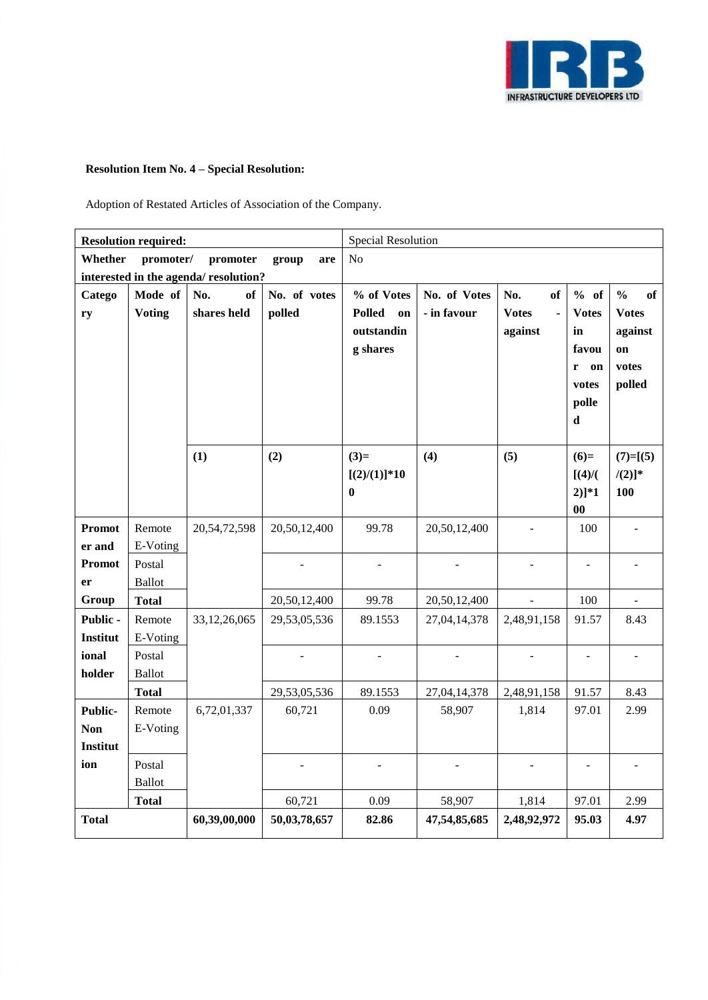

# **Resolution Item No. 4 – Special Resolution:**

Adoption of Restated Articles of Association of the Company.

|                 | <b>Resolution required:</b>           |                 |              | <b>Special Resolution</b> |                |                     |                   |                     |  |
|-----------------|---------------------------------------|-----------------|--------------|---------------------------|----------------|---------------------|-------------------|---------------------|--|
| Whether         | promoter/<br>promoter<br>group<br>are |                 |              |                           | N <sub>o</sub> |                     |                   |                     |  |
|                 | interested in the agenda/resolution?  |                 |              |                           |                |                     |                   |                     |  |
| Catego          | Mode of                               | No.<br>of       | No. of votes | % of Votes                | No. of Votes   | No.<br>of           | % of              | $\frac{0}{0}$<br>of |  |
| ry              | <b>Voting</b>                         | shares held     | polled       | <b>Polled</b><br>on       | - in favour    | <b>Votes</b><br>L,  | <b>Votes</b>      | <b>Votes</b>        |  |
|                 |                                       |                 |              | outstandin                |                | against             | in                | against             |  |
|                 |                                       |                 |              | g shares                  |                |                     | favou             | on                  |  |
|                 |                                       |                 |              |                           |                |                     | $\mathbf r$<br>on | votes               |  |
|                 |                                       |                 |              |                           |                |                     | votes             | polled              |  |
|                 |                                       |                 |              |                           |                |                     | polle             |                     |  |
|                 |                                       |                 |              |                           |                |                     | $\mathbf d$       |                     |  |
|                 |                                       | (1)             | (2)          | $(3)=$                    | (4)            | (5)                 | $(6)=$            | $(7)=[(5)$          |  |
|                 |                                       |                 |              | $[(2)/(1)]$ *10           |                |                     | $[(4)$ /(         | $/(2)]^*$           |  |
|                 |                                       |                 |              | $\bf{0}$                  |                |                     | $2)]*1$           | 100                 |  |
|                 |                                       |                 |              |                           |                |                     | $\bf{00}$         |                     |  |
| Promot          | Remote                                | 20,54,72,598    | 20,50,12,400 | 99.78                     | 20,50,12,400   |                     | 100               |                     |  |
| er and          | E-Voting                              |                 |              |                           |                |                     |                   |                     |  |
| Promot          | Postal                                |                 |              |                           |                |                     | $\frac{1}{2}$     | $\overline{a}$      |  |
| er              | <b>Ballot</b>                         |                 |              |                           |                |                     |                   |                     |  |
| Group           | <b>Total</b>                          |                 | 20,50,12,400 | 99.78                     | 20,50,12,400   | $\bar{\mathcal{L}}$ | 100               | $\overline{a}$      |  |
| Public -        | Remote                                | 33, 12, 26, 065 | 29,53,05,536 | 89.1553                   | 27,04,14,378   | 2,48,91,158         | 91.57             | 8.43                |  |
| Institut        | E-Voting                              |                 |              |                           |                |                     |                   |                     |  |
| ional           | Postal                                |                 |              |                           |                |                     | $\overline{a}$    |                     |  |
| holder          | <b>Ballot</b>                         |                 |              |                           |                |                     |                   |                     |  |
|                 | <b>Total</b>                          |                 | 29,53,05,536 | 89.1553                   | 27,04,14,378   | 2,48,91,158         | 91.57             | 8.43                |  |
| Public-         | Remote                                | 6,72,01,337     | 60,721       | 0.09                      | 58,907         | 1,814               | 97.01             | 2.99                |  |
| <b>Non</b>      | E-Voting                              |                 |              |                           |                |                     |                   |                     |  |
| <b>Institut</b> |                                       |                 |              |                           |                |                     |                   |                     |  |
| ion             | Postal<br><b>Ballot</b>               |                 |              |                           |                |                     |                   |                     |  |
|                 | <b>Total</b>                          |                 | 60,721       | 0.09                      | 58,907         | 1,814               | 97.01             | 2.99                |  |
| <b>Total</b>    |                                       | 60,39,00,000    | 50,03,78,657 | 82.86                     | 47,54,85,685   | 2,48,92,972         | 95.03             | 4.97                |  |
|                 |                                       |                 |              |                           |                |                     |                   |                     |  |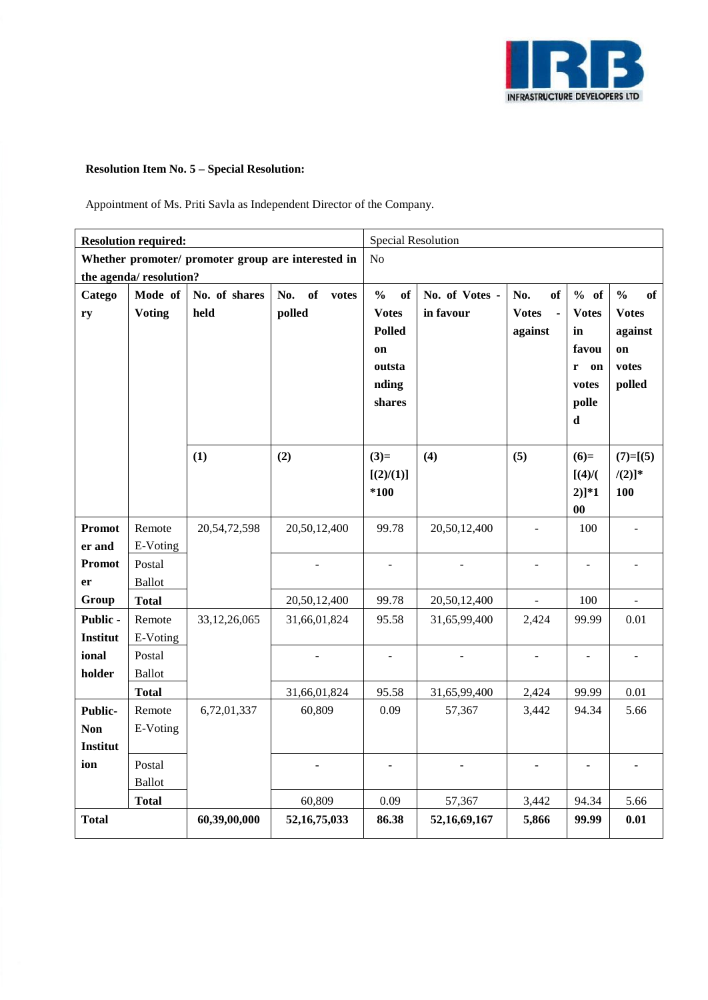

# **Resolution Item No. 5 – Special Resolution:**

Appointment of Ms. Priti Savla as Independent Director of the Company.

| <b>Resolution required:</b> |                                                    |                 |                 | Special Resolution  |                |                    |                              |                     |  |
|-----------------------------|----------------------------------------------------|-----------------|-----------------|---------------------|----------------|--------------------|------------------------------|---------------------|--|
|                             | Whether promoter/ promoter group are interested in |                 |                 |                     | N <sub>o</sub> |                    |                              |                     |  |
| the agenda/resolution?      |                                                    |                 |                 |                     |                |                    |                              |                     |  |
| Catego                      | No.<br>of<br>Mode of<br>No. of shares<br>votes     |                 |                 | $\frac{0}{0}$<br>of | No. of Votes - | No.<br>of          | % of                         | $\frac{0}{0}$<br>of |  |
| ry                          | <b>Voting</b>                                      | held            | polled          | <b>Votes</b>        | in favour      | <b>Votes</b><br>÷, | <b>Votes</b>                 | <b>Votes</b>        |  |
|                             |                                                    |                 |                 | <b>Polled</b>       |                | against            | in                           | against             |  |
|                             |                                                    |                 |                 | on                  |                |                    | favou                        | on                  |  |
|                             |                                                    |                 |                 | outsta              |                |                    | r on                         | votes               |  |
|                             |                                                    |                 |                 | nding               |                |                    | votes                        | polled              |  |
|                             |                                                    |                 |                 | shares              |                |                    | polle                        |                     |  |
|                             |                                                    |                 |                 |                     |                |                    | $\mathbf d$                  |                     |  |
|                             |                                                    | (1)             | (2)             | $(3)=$              | (4)            | (5)                | $(6)=$                       | $(7)=[(5)$          |  |
|                             |                                                    |                 |                 | [(2)/(1)]           |                |                    | $[(4)$ /(                    | $/(2)]^*$           |  |
|                             |                                                    |                 |                 | $*100$              |                |                    | $2)]*1$                      | 100                 |  |
|                             |                                                    |                 |                 |                     |                |                    | $\bf{00}$                    |                     |  |
| Promot                      | Remote                                             | 20,54,72,598    | 20,50,12,400    | 99.78               | 20,50,12,400   |                    | 100                          |                     |  |
| er and                      | E-Voting                                           |                 |                 |                     |                |                    |                              |                     |  |
| Promot                      | Postal                                             |                 |                 |                     |                | $\overline{a}$     | $\qquad \qquad \blacksquare$ | $\blacksquare$      |  |
| er                          | <b>Ballot</b>                                      |                 |                 |                     |                |                    |                              |                     |  |
| Group                       | <b>Total</b>                                       |                 | 20,50,12,400    | 99.78               | 20,50,12,400   | $\frac{1}{2}$      | 100                          | $\overline{a}$      |  |
| Public -                    | Remote                                             | 33, 12, 26, 065 | 31,66,01,824    | 95.58               | 31,65,99,400   | 2,424              | 99.99                        | 0.01                |  |
| Institut                    | E-Voting                                           |                 |                 |                     |                |                    |                              |                     |  |
| ional                       | Postal                                             |                 |                 |                     |                |                    |                              |                     |  |
| holder                      | <b>Ballot</b>                                      |                 |                 |                     |                |                    |                              |                     |  |
|                             | <b>Total</b>                                       |                 | 31,66,01,824    | 95.58               | 31,65,99,400   | 2,424              | 99.99                        | 0.01                |  |
| <b>Public-</b>              | Remote                                             | 6,72,01,337     | 60,809          | 0.09                | 57,367         | 3,442              | 94.34                        | 5.66                |  |
| <b>Non</b>                  | E-Voting                                           |                 |                 |                     |                |                    |                              |                     |  |
| Institut                    |                                                    |                 |                 |                     |                |                    |                              |                     |  |
| ion                         | Postal                                             |                 |                 |                     |                |                    |                              |                     |  |
|                             | <b>Ballot</b>                                      |                 |                 | 0.09                |                | 3,442              | 94.34                        | 5.66                |  |
|                             | <b>Total</b>                                       |                 | 60,809          |                     | 57,367         |                    | 99.99                        |                     |  |
| <b>Total</b>                |                                                    | 60,39,00,000    | 52, 16, 75, 033 | 86.38               | 52,16,69,167   | 5,866              |                              | 0.01                |  |